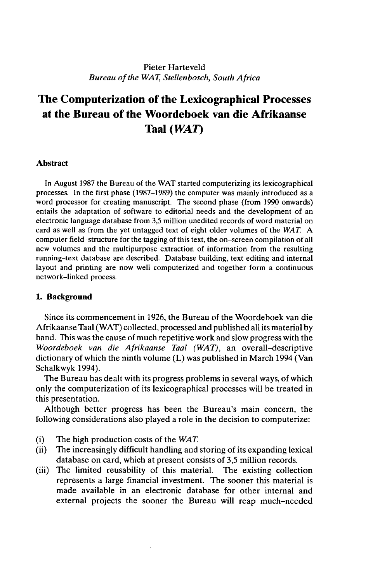### Pieter Harteveld *Bureau ofthe WAT, Stellenbosch, South Africa*

# **The Computerization of the Lexicographical Processes at the Bureau of the Woordeboek van die Afrikaanse Taal** *(WAT)*

#### **Abstract**

In August 1987 the Bureau of the WAT started computerizing its lexicographical processes. In the first phase (1987-1989) the computer was mainly introduced as a word processor for creating manuscript. The second phase (from 1990 onwards) entails the adaptation of software to editorial needs and the development of an electronic language database from 3,5 million unedited records of word material on card as well as from the yet untagged text of eight older volumes of the *WAT. A* computer field-structure for the tagging of this text, the on-screen compilation of all new volumes and the multipurpose extraction of information from the resulting running-text database are described. Database building, text editing and internal layout and printing are now well computerized and together form a continuous network-linked process.

#### **1. Background**

Since its commencement in 1926, the Bureau of the Woordeboek van die Afrikaanse Taal (WAT) collected, processed and published allits material by hand. This was the cause of much repetitive work and slow progress with the *Woordeboek van die Afrikaanse Taal (WAT),* an overall-descriptive dictionary of which the ninth volume (L) was published in March 1994 (Van Schalkwyk 1994).

The Bureau has dealt with its progress problems in several ways, of which only the computerization of its lexicographical processes will be treated in this presentation.

Although better progress has been the Bureau's main concern, the following considerations also played a role in the decision to computerize:

- (i) The high production costs of the *WAT.*
- (ii) The increasingly difficult handling and storing of its expanding lexical database on card, which at present consists of 3,5 million records.
- (iii) The limited reusability of this material. The existing collection represents a large financial investment. The sooner this material is made available in an electronic database for other internal and external projects the sooner the Bureau will reap much-needed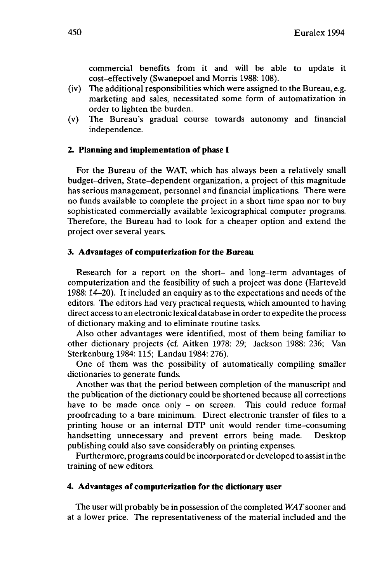commercial benefits from it and will be able to update it cost-effectively (Swanepoel and Morris 1988: 108).

- (iv) The additional responsibilities which were assigned to the Bureau, e.g. marketing and sales, necessitated some form of automatization in order to lighten the burden,
- (v) The Bureau's gradual course towards autonomy and financial independence.

#### **2. Planning and implementation of phase I**

For the Bureau of the WAT, which has always been a relatively small budget-driven, State-dependent organization, a project of this magnitude has serious management, personnel and financial implications. There were no funds available to complete the project in a short time span nor to buy sophisticated commercially available lexicographical computer programs. Therefore, the Bureau had to look for a cheaper option and extend the project over several years.

#### **3. Advantages of computerization for the Bureau**

Research for a report on the short- and long-term advantages of computerization and the feasibility of such a project was done (Harteveld 1988:14-20). It included an enquiry as to the expectations and needs of the editors. The editors had very practical requests, which amounted to having direct access to an electronic lexical database in order to expedite the process of dictionary making and to eliminate routine tasks.

Also other advantages were identified, most of them being familiar to other dictionary projects (cf. Aitken 1978: 29; Jackson 1988: 236; Van Sterkenburg 1984:115; Landau 1984: 276).

One of them was the possibility of automatically compiling smaller dictionaries to generate funds.

Another was that the period between completion of the manuscript and the publication of the dictionary could be shortened because all corrections have to be made once only - on screen. This could reduce formal proofreading to a bare minimum. Direct electronic transfer of files to a printing house or an internal DTP unit would render time-consuming handsetting unnecessary and prevent errors being made. Desktop publishing could also save considerably on printing expenses.

Furthermore, programs could be incorporated or developed to assistin the training of new editors.

#### **4. Advantages of computerization for the dictionary user**

The user will probably be in possession of the completed WAT sooner and at a lower price. The representativeness of the material included and the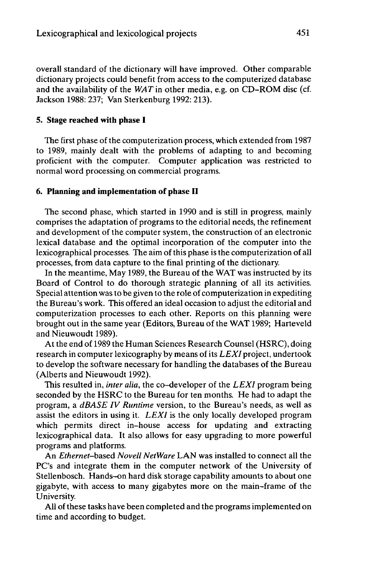overall standard of the dictionary will have improved. Other comparable dictionary projects could benefit from access to the computerized database and the availability of the *WATin* other media, e.g. on CD-ROM disc (cf. Jackson 1988: 237; Van Sterkenburg 1992: 213).

#### **5. Stage reached with phase I**

The first phase of the computerization process, which extended from 1987 to 1989, mainly dealt with the problems of adapting to and becoming proficient with the computer. Computer application was restricted to normal word processing on commercial programs.

#### **6. Planning and implementation of phase II**

The second phase, which started in 1990 and is still in progress, mainly comprises the adaptation of programs to the editorial needs, the refinement and development of the computer system, the construction of an electronic lexical database and the optimal incorporation of the computer into the lexicographical processes. The aim of this phase is the computerization of all processes, from data capture to the final printing of the dictionary.

In the meantime, May 1989, the Bureau of the WAT was instructed by its Board of Control to do thorough strategic planning of all its activities. Special attention was to be given to the role of computerization in expediting the Bureau's work. This offered an ideal occasion to adjust the editorial and computerization processes to each other. Reports on this planning were brought out in the same year (Editors, Bureau of the WAT 1989; Harteveld and Nieuwoudt 1989).

Atthe end of 1989 the Human Sciences Research Counsel (HSRC), doing research in computer lexicography by means ofits *LEXI* project, undertook to develop the software necessary for handling the databases of the Bureau (Alberts and Nieuwoudt 1992).

This resulted in, *inter alia,* the co-developer of the *LEXI* program being seconded by the HSRC to the Bureau for ten months. He had to adapt the program, a *dBASE IV Runtime* version, to the Bureau's needs, as well as assist the editors in using it. *LEXI* is the only locally developed program which permits direct in-house access for updating and extracting lexicographical data. It also allows for easy upgrading to more powerful programs and platforms.

An *Ethernet-based Novell NetWare* LAN was installed to connect all the PC's and integrate them in the computer network of the University of Stellenbosch. Hands-on hard disk storage capability amounts to about one gigabyte, with access to many gigabytes more on the main-frame of the University.

All of these tasks have been completed and the programs implemented on time and according to budget.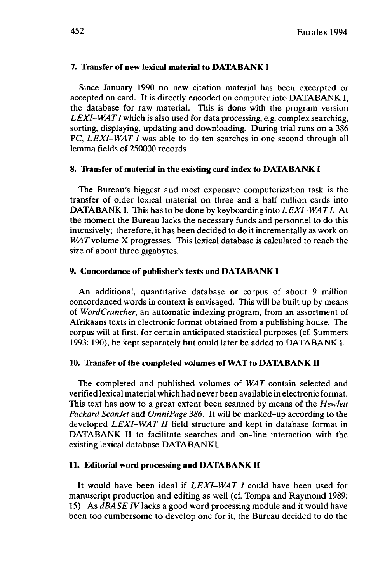#### **7. Transfer of new lexical material to DATABANK I**

Since January 1990 no new citation material has been excerpted or accepted on card. It is directly encoded on computer into DATABANK I, the database for raw material. This is done with the program version *LEXI-WATI* which is also used for data processing, e.g. complex searching, sorting, displaying, updating and downloading. During trial runs on a 386 PC, *LEXI-WAT I* was able to do ten searches in one second through all lemma fields of 250000 records.

## **8. Transfer of material in the existing card index to DATABANK I**

The Bureau's biggest and most expensive computerization task is the transfer of older lexical material on three and a half million cards into DATABANK I. This has to be done by keyboarding into LEXI-WAT I. At the moment the Bureau lacks the necessary funds and personnel to do this intensively; therefore, it has been decided to do it incrementally as work on *WAT*volume X progresses. This lexical database is calculated to reach the size of about three gigabytes.

#### **9. Concordance of publisher's texts and DATABANK I**

An additional, quantitative database or corpus of about 9 million concordanced words in context is envisaged. This will be built up by means of *WordCruncher,* an automatic indexing program, from an assortment of Afrikaans texts in electronic format obtained from a publishing house. The corpus will at first, for certain anticipated statistical purposes (cf. Summers 1993:190), be kept separately but could later be added to DATABANK **I.**

## **10. Transfer of the completed volumes of WAT to DATABANK II**

The completed and published volumes of *WAT* contain selected and verified lexical material which had never been available in electronic format. This text has now to a great extent been scanned by means of the *Hewlett Packard ScanJet* and *OmniPage 386.* It will be marked-up according to the developed *LEXI-WAT II* field structure and kept in database format in DATABANK II to facilitate searches and on-line interaction with the existing lexical database DATABANK!

## **11. Editorial word processing and DATABANK II**

It would have been ideal if *LEXI-WAT I* could have been used for manuscript production and editing as well (cf. Tompa and Raymond 1989: 15). As *dBASE TV* lacks a good word processing module and it would have been too cumbersome to develop one for it, the Bureau decided to do the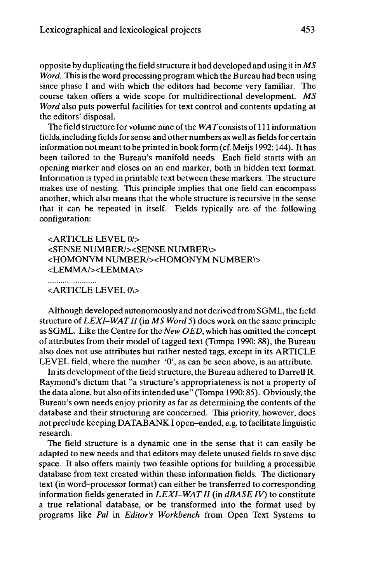opposite by duplicating the field structure it had developed and using it in *MS Word.* This is the word processing program which the Bureau had been using since phase I and with which the editors had become very familiar. The course taken offers a wide scope for multidirectional development. *MS Word* also puts powerful facilities for text control and contents updating at the editors' disposal.

The field structure for volume nine of the  $WAT$  consists of 111 information fields, including fields for sense and other numbers as well as fields for certain information not meant to be printed in book form (cf. Meijs 1992: 144). It has been tailored to the Bureau's manifold needs. Each field starts with an opening marker and closes on an end marker, both in hidden text format. Information is typed in printable text between these markers. The structure makes use of nesting. This principle implies that one field can encompass another, which also means that the whole structure is recursive in the sense that it can be repeated in itself. Fields typically are of the following configuration:

<ARTICLE LEVEL 0/> <SENSE NUMBER/><SENSE NUMBER\> <HOMONYM NUMBER/><HOMONYM NUMBER\> <LEMMA/><LEMMA\> ......................

<ARTICLE LEVEL 0\>

Although developed autonomously and not derived from SGML, the field structure of *LEXI-WATII* (in *MS Word* 5) does work on the same principle as SGML. Like the Centre for the *New OED,* which has omitted the concept of attributes from their model of tagged text (Tompa 1990: 88), the Bureau also does not use attributes but rather nested tags, except in its ARTICLE LEVEL field, where the number '0', as can be seen above, is an attribute.

In its development of the field structure, the Bureau adhered to Darrell R. Raymond's dictum that "a structure's appropriateness is not a property of the data alone, but also of its intended use" (Tompa 1990: 85). Obviously, the Bureau's own needs enjoy priority as far as determining the contents of the database and their structuring are concerned. This priority, however, does not preclude keeping DATABANK I open-ended, e.g. to facilitate linguistic research.

The field structure is a dynamic one in the sense that it can easily be adapted to new needs and that editors may delete unused fields to save disc space. It also offers mainly two feasible options for building a processible database from text created within these information fields. The dictionary text (in word-processor format) can either be transferred to corresponding information fields generated in *LEXI-WATII* (in *dBASE IV)* to constitute a true relational database, or be transformed into the format used by programs like *Pal* in *Editor's Workbench* from Open Text Systems to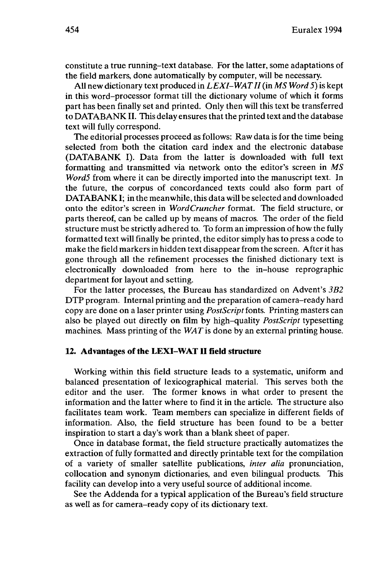constitute a true running-text database. For the latter, some adaptations of the field markers, done automatically by computer, will be necessary.

All new dictionary text produced in *LEXI-WATII*(in *MS Word* 5) is kept in this word-processor format till the dictionary volume of which it forms part has been finally set and printed. Only then will this text be transferred to DATABANK II. This delay ensures that the printed text and the database text will fully correspond.

The editorial processes proceed as follows: Raw data is for the time being selected from both the citation card index and the electronic database (DATABANK I). Data from the latter is downloaded with full text formatting and transmitted via network onto the editor's screen in *MS WordS* from where it can be directly imported into the manuscript text. In the future, the corpus of concordanced texts could also form part of DATABANK I; in the meanwhile, this data will be selected and downloaded onto the editor's screen in *WordCruncher* format. The field structure, or parts thereof, can be called up by means of macros. The order of the field structure must be strictly adhered to. To form an impression of how the fully formatted text will finally be printed, the editor simply has to press a code to make the field markers in hidden text disappear from the screen. After it has gone through all the refinement processes the finished dictionary text is electronically downloaded from here to the in-house reprographic department for layout and setting.

For the latter processes, the Bureau has standardized on Advent's *3B2* DTP program. Internal printing and the preparation of camera-ready hard copy are done on a laser printer using *PostScript* fonts. Printing masters can also be played out directly on film by high-quality *PostScript* typesetting machines. Mass printing of the *WAT*is done by an external printing house.

#### **12.** Advantages of the LEXI-WAT II field structure

Working within this field structure leads to a systematic, uniform and balanced presentation of lexicographical material. This serves both the editor and the user. The former knows in what order to present the information and the latter where to find it in the article. The structure also facilitates team work. Team members can specialize in different fields of information. Also, the field structure has been found to be a better inspiration to start a day's work than a blank sheet of paper.

Once in database format, the field structure practically automatizes the extraction of fully formatted and directly printable text for the compilation of a variety of smaller satellite publications, *inter alia* pronunciation, collocation and synonym dictionaries, and even bilingual products. This facility can develop into a very useful source of additional income.

See the Addenda for a typical application of the Bureau's field structure as well as for camera-ready copy of its dictionary text.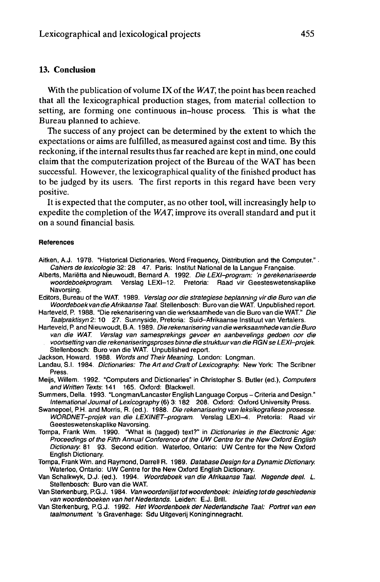## **13. Conclusion**

With the publication of volume IX of the *WAT,* the point has been reached that all the lexicographical production stages, from material collection to setting, are forming one continuous in-house process. This is what the Bureau planned to achieve.

The success of any project can be determined by the extent to which the expectations or aims are fulfilled, as measured against cost and time. By this reckoning, if the internal results thus far reached are keptin mind, one could claim that the computerization project of the Bureau of the WAT has been successful. However, the lexicographical quality of the finished product has to be judged by its users. The first reports in this regard have been very positive.

It is expected that the computer, as no other tool, will increasingly help to expedite the completion of the *WAT,* improve its overall standard and put it on a sound financial basis.

#### **References**

- Aitken, A.J. 1978. "Historical Dictionaries, Word Frequency, Distribution and the Computer." Cahiers de lexicologie 32: 28 47. Paris: Institut National de la Langue Française.
- Alberts, Marietta and Nieuwoudt, Bernard A. 1992. Die LEXI-program: 'n gerekenariseerde woordeboekprogram. Verslag LEXI-12. Pretoria: Raad vir Geesteswetenskaplike Navorsing.
- Editors, Bureau of the WAT. 1989. Verslag oor die strategiese beplanning vir die Buro van die WoordeboekvandieAfrikaanseTaal. Stellenbosch: Büro van die WAT. Unpublished report.
- Harteveld, P. 1988. "Die rekenarisering van die werksaamhede van die Buro van die WAT." Die Taalpraktisyn 2: 10 27. Sunnyside, Pretoria: Suid-Afrikaanse Instituut van Vertalers.
- Harteveld, P. and Nieuwoudt, B.A. 1989. Die rekenarisering van die werksaamhede van die Buro van die WAT. Verslag van samesprekings gevoer en aanbevelings gedoen oor die voortsetiing van die rekenariseringsproses binne die struktuur van die RGN se LEXI-projek. Stellenbosch: Büro van die WAT. Unpublished report.
- Jackson, Howard. 1988. Words and Their Meaning. London: Longman.
- Landau, S.I. 1984. Dictionaries: The Art and Craft of Lexicography. New York: The Scribner Press.
- Meijs, Willem. 1992. "Computers and Dictionaries" in Christopher S. Butler (ed.), Computers and Written Texts. 141 165. Oxford: Blackwell.
- Summers, Delia. 1993. "Longman/Lancaster English Language Corpus Criteria and Design." International Journal of Lexicography (6) 3: 182 208. Oxford: Oxford University Press.
- Swanepoel, PH. and Morris, R. (ed.). 1988. Die rekenarisering van leksikografiese prosesse. WORDNET-projek van die LEXINET-program. Verslag LEXI-4. Pretoria: Raad vir Geesteswetenskaplike Navorsing.
- Tompa, Frank Wm. 1990. "What is (tagged) text?" in Dictionaries in the Electronic Age: Proceedings of the Fifth Annual Conference of the UW Centre for the New Oxford English Dictionary. 81 93. Second edition. Waterloo, Ontario: UW Centre for the New Oxford English Dictionary.
- Tompa, Frank Wm. and Raymond, Darrell R. 1989. Database Design fora Dynamic Dictionary. Waterloo, Ontario: UW Centre for the New Oxford English Dictionary.
- Van Schalkwyk, D.J. (ed.). 1994. Woordeboek van die Afrikaanse Taal. Negende deel. L. Stellenbosch: Büro van die **WAT.**
- Van Sterkenburg, P.G.J. 1984. Van woordenlijst tot woordenboek: Inleiding tot de geschiedenis van woordenboeken van het Nederlands. Leiden: E.J. Brill.
- Van Sterkenburg, P.G.J. 1992. Het Woordenboek der Nedertandsche Taal: Portret van een taalmonument 's Gravenhage: Sdu Uitgeverij Koninginnegracht.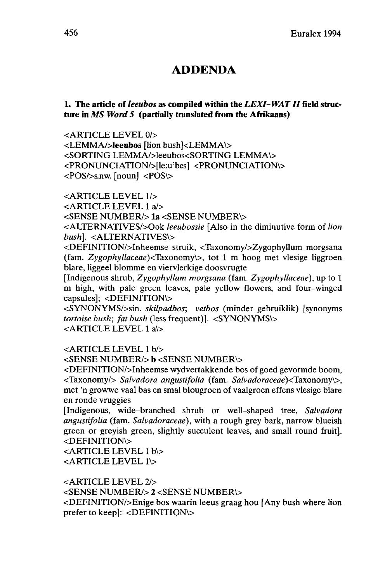## **ADDENDA**

## **1. The article of** *leeubos* **as compiled within the** *LEXI-WATII***field structure in** *MS Word 5* **(partially translated from the Afrikaans)**

<ARTICLE LEVEL 0/>

<LEMMA/>leeubos [lion bush]<LEMMA\> <SORTING LEMMA/>leeubos<SORTING LEMMA\> <PRONUNCIATION/>[le:u'bcs] <PRONUNCIATION\> <POS/>s.nw. [noun] <POS\>

<ARTICLE LEVEL l/>

<ARTICLE LEVEL <sup>1</sup> a/>

<SENSE NUMBER/> **la** <SENSE NUMBER\>

<ALTERNATIVES/>Ook *leeubossie* [Also in the diminutive form of *lion bush].* <ALTERNATIVES\>

<DEFINITION/>Inheemse struik, <Taxonomy/>Zygophyllum morgsana (fam. *Zygophyllaceae)<Taxonomy\>,* tot <sup>1</sup> m hoog met vlesige liggroen blare, liggeel blomme en viervlerkige doosvrugte

[Indigenous shrub, *Zygophyllum morgsana* (fam. *Zygophyllaceae),* up to <sup>1</sup> m high, with pale green leaves, pale yellow flowers, and four-winged capsules]; <DEFINITION\>

<SYNONYMS/>sin. *skilpadbos; vetbos* (minder gebruiklik) [synonyms *tortoise bush; fat bush* (less frequent)]. <SYNONYMS\> <ARTICLE LEVEL <sup>1</sup> a\>

<ARTICLE LEVEL <sup>1</sup> b/>

<SENSE NUMBER/> b <SENSE NUMBER\>

<DEFINITION/>Inheemse wydvertakkende bos of goed gevormde boom, <Taxonomy/> *Salvadora angustifolia* (fam. Sa/vadoraceae)<Taxonomy\>, met 'n growwe vaal bas en smal blougroen of vaalgroen effens vlesige blare en ronde vruggies

[Indigenous, wide-branched shrub or well-shaped tree, *Salvadora angustifolia* (fam. *Salvadoraceae),* with a rough grey bark, narrow blueish green or greyish green, slightly succulent leaves, and small round fruit]. <DEFINITION\>

<ARTICLE LEVEL <sup>1</sup> b\> <ARTICLE LEVEL 1\>

<ARTICLE LEVEL 2/> <SENSE NUMBER/> 2 <SENSE NUMBER\> <DEFINITION/>Enige bos waarin leeus graag hou [Any bush where lion prefer to keep]: <DEFINITION\>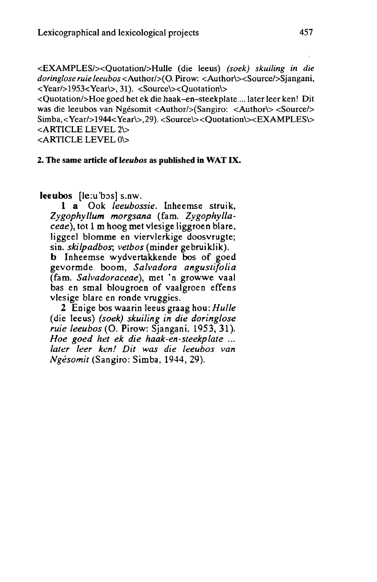<EXAMPLES/xQuotation/>Hulle (die leeus) *(soek) skuiling in die doringlose ruie leeubos* <Author/>(0. Pirow: <Author\><Source/>Sjangani, <Year/>1953<Year\>, 31). <Source\xQuotation\>

<Quotation/>Hoe goed het ek die haak-en-steekplate... later leer ken! Dit was die leeubos van Ngésomit <Author/>lor/>(Sangiro: <Author/>hor/><Source/> Simba,<Year/>ear/>1944<Year\>, 29). <Source\><Quotation\><EXAMPLES\> <ARTICLE LEVEL 2\>

<ARTICLE LEVEL 0\>

#### 2. The same **article of** *leeubos* as **published** in **WAT IX.**

**leeubos** [le:u'bos] s.nw.

<sup>1</sup> a Ook *leeubossie.* Inheemse struik, *Zygophyllum morgsana* (fam. *Zygophyllaceae),* tot <sup>1</sup> m hoog met vlesige liggroen blare, liggeel blomme en viervlerkige doosvrugte; sin. *skilpadboy, vetbos* (minder gebruiklik).

**b** Inheemse wydvertakkende bos of goed gevormde boom, *Salvadora angustifolia* (fam. *Salvadoraceae),* met 'n growwe vaal bas en smal blougroen of vaalgroen effens vlesige blare en ronde vruggies.

2 Enige bos waarin leeus graag hou: *Hulle* (die leeus) *(soek) skuiling in die doringlose ruie leeubos* (O. Pirow: Sjangani. 1953, 31). *Hoe goed het ek die haak-en-steekplate ... later leer ken! Dit was die leeubos van Ngésomit* (Sangiro: Simba, 1944, 29).